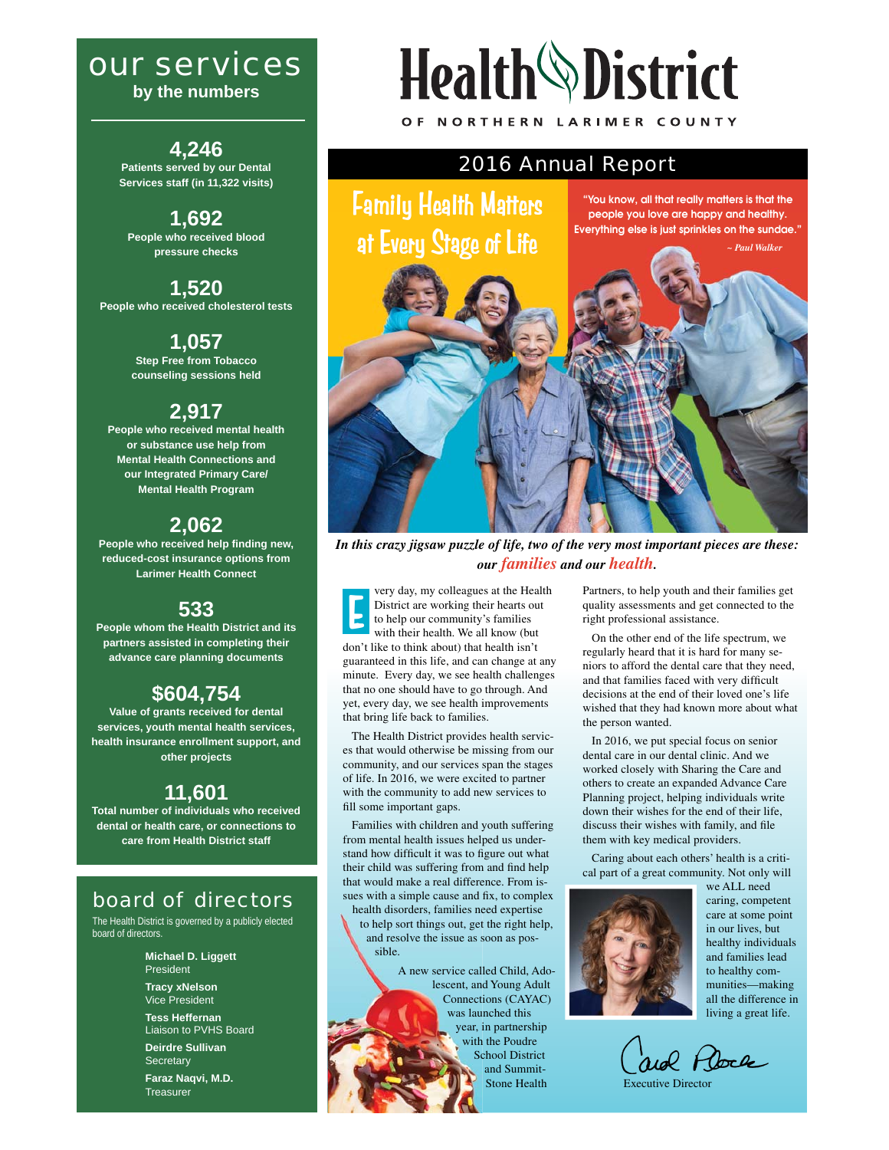# *our services*

**by the numbers**

**4,246 Patients served by our Dental Services staff (in 11,322 visits)**

**1,692 People who received blood pressure checks**

**1,520 People who received cholesterol tests**

> **1,057 Step Free from Tobacco counseling sessions held**

## **2,917**

**People who received mental health or substance use help from Mental Health Connections and our Integrated Primary Care/ Mental Health Program**

# **2,062**

**People who received help finding new, reduced-cost insurance options from Larimer Health Connect**

## **533**

**People whom the Health District and its partners assisted in completing their advance care planning documents**

# **\$604,754**

**Value of grants received for dental services, youth mental health services, health insurance enrollment support, and other projects**

## **11,601**

**Total number of individuals who received dental or health care, or connections to care from Health District staff**

# *board of directors*

The Health District is governed by a publicly elected board of directors.

> **Michael D. Liggett** President **Tracy xNelson**

Vice President **Tess Heffernan** 

Liaison to PVHS Board **Deirdre Sullivan**

**Secretary Faraz Naqvi, M.D.**

**Treasurer** 

# **Health** District OF NORTHERN LARIMER COUNTY

*2016 Annual Report*

Family Health Matters

**"You know, all that really matters is that the people you love are happy and healthy. Everything else is just sprinkles on the sundae."**



*In this crazy jigsaw puzzle of life, two of the very most important pieces are these: our families and our health.*

very day, my colleagues at the Health District are working their hearts out to help our community's families with their health. We all know (but don't like to think about) that health isn't guaranteed in this life, and can change at any minute. Every day, we see health challenges that no one should have to go through. And yet, every day, we see health improvements that bring life back to families. **E**

 The Health District provides health services that would otherwise be missing from our community, and our services span the stages of life. In 2016, we were excited to partner with the community to add new services to fill some important gaps.

 Families with children and youth suffering from mental health issues helped us understand how difficult it was to figure out what their child was suffering from and find help that would make a real difference. From issues with a simple cause and fix, to complex

health disorders, families need expertise to help sort things out, get the right help, and resolve the issue as soon as possible.

> A new service called Child, Adolescent, and Young Adult Connections (CAYAC) was launched this year, in partnership with the Poudre School District and Summit-Stone Health

Partners, to help youth and their families get quality assessments and get connected to the right professional assistance.

 On the other end of the life spectrum, we regularly heard that it is hard for many seniors to afford the dental care that they need, and that families faced with very difficult decisions at the end of their loved one's life wished that they had known more about what the person wanted.

 In 2016, we put special focus on senior dental care in our dental clinic. And we worked closely with Sharing the Care and others to create an expanded Advance Care Planning project, helping individuals write down their wishes for the end of their life, discuss their wishes with family, and file them with key medical providers.

 Caring about each others' health is a critical part of a great community. Not only will



we ALL need caring, competent care at some point in our lives, but healthy individuals and families lead to healthy communities—making all the difference in living a great life.

rid Place

Executive Director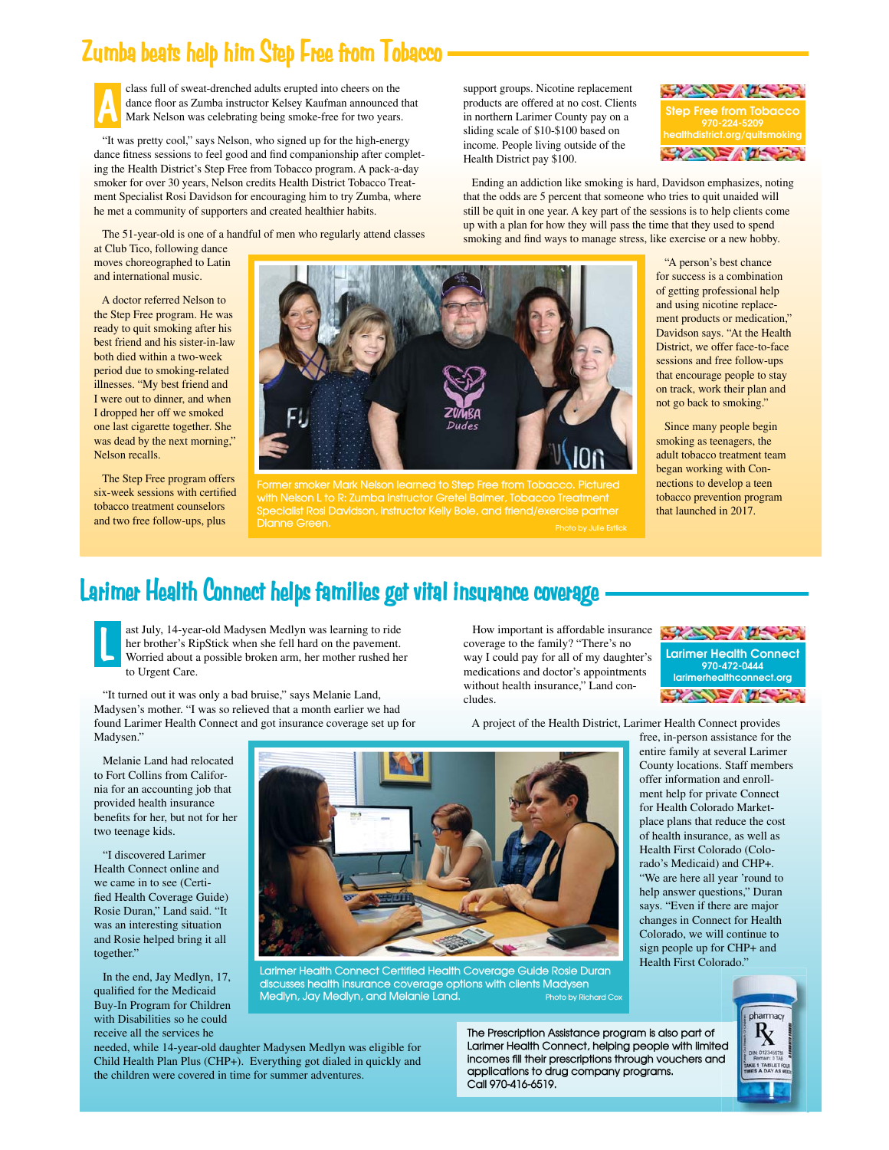# **Zumba beats help him Step Free from Tobacco**

**A**

 class full of sweat-drenched adults erupted into cheers on the dance floor as Zumba instructor Kelsey Kaufman announced that Mark Nelson was celebrating being smoke-free for two years.

 "It was pretty cool," says Nelson, who signed up for the high-energy dance fitness sessions to feel good and find companionship after completing the Health District's Step Free from Tobacco program. A pack-a-day smoker for over 30 years, Nelson credits Health District Tobacco Treatment Specialist Rosi Davidson for encouraging him to try Zumba, where he met a community of supporters and created healthier habits.

The 51-year-old is one of a handful of men who regularly attend classes

at Club Tico, following dance moves choreographed to Latin and international music.

 A doctor referred Nelson to the Step Free program. He was ready to quit smoking after his best friend and his sister-in-law both died within a two-week period due to smoking-related illnesses. "My best friend and I were out to dinner, and when I dropped her off we smoked one last cigarette together. She was dead by the next morning," Nelson recalls.

 The Step Free program offers six-week sessions with certified tobacco treatment counselors and two free follow-ups, plus



**with Nelson L to R: Zumba instructor Gretel Balmer, Tobacco Treatment Specialist Rosi Davidson, instructor Kelly Bole, and friend/exercise partner Dianne Green. Photo by Julie Estlick**

**CANDRATIC AND STREET Step Free from Tobacco 970-224-5209 [healthdistrict.org/quitsmoking](http://www.healthdistrict.org/quitsmoking)**

 Ending an addiction like smoking is hard, Davidson emphasizes, noting that the odds are 5 percent that someone who tries to quit unaided will still be quit in one year. A key part of the sessions is to help clients come up with a plan for how they will pass the time that they used to spend smoking and find ways to manage stress, like exercise or a new hobby.

support groups. Nicotine replacement products are offered at no cost. Clients in northern Larimer County pay on a sliding scale of \$10-\$100 based on income. People living outside of the Health District pay \$100.

> "A person's best chance for success is a combination of getting professional help and using nicotine replacement products or medication," Davidson says. "At the Health District, we offer face-to-face sessions and free follow-ups that encourage people to stay on track, work their plan and not go back to smoking."

 Since many people begin smoking as teenagers, the adult tobacco treatment team began working with Connections to develop a teen tobacco prevention program that launched in 2017.

**Larimer Health Connect 970-472-0444 [larimerhealthconnect.org](http://www.larimerhealthconnect.org)**

The Company of the Company

 $\mathcal{L}(\mathbb{Z}) = \sqrt{2}$ 

# **Larimer Health Connect helps families get vital insurance coverage**

ast July, 14-year-old Madysen Medlyn was learning to ride her brother's RipStick when she fell hard on the pavement. Worried about a possible broken arm, her mother rushed her to Urgent Care. **L**

 "It turned out it was only a bad bruise," says Melanie Land, Madysen's mother. "I was so relieved that a month earlier we had found Larimer Health Connect and got insurance coverage set up for Madysen."

 Melanie Land had relocated to Fort Collins from California for an accounting job that provided health insurance benefits for her, but not for her two teenage kids.

 "I discovered Larimer Health Connect online and we came in to see (Certified Health Coverage Guide) Rosie Duran," Land said. "It was an interesting situation and Rosie helped bring it all together."

 In the end, Jay Medlyn, 17, qualified for the Medicaid Buy-In Program for Children with Disabilities so he could receive all the services he



**Larimer Health Connect Certified Health Coverage Guide Rosie Duran discusses health insurance coverage options with clients Madysen Medlyn, Jay Medlyn, and Melanie Land. Photo by Richard Cox**

needed, while 14-year-old daughter Madysen Medlyn was eligible for Child Health Plan Plus (CHP+). Everything got dialed in quickly and the children were covered in time for summer adventures.

 How important is affordable insurance coverage to the family? "There's no way I could pay for all of my daughter's medications and doctor's appointments without health insurance," Land concludes.

A project of the Health District, Larimer Health Connect provides

free, in-person assistance for the entire family at several Larimer County locations. Staff members offer information and enrollment help for private Connect for Health Colorado Marketplace plans that reduce the cost of health insurance, as well as Health First Colorado (Colorado's Medicaid) and CHP+. "We are here all year 'round to help answer questions," Duran says. "Even if there are major changes in Connect for Health Colorado, we will continue to sign people up for CHP+ and Health First Colorado."



**The Prescription Assistance program is also part of**  Larimer Health Connect, helping people with limited<br>incomes fill their prescriptions through vouchers and **incomes fill their prescriptions through vouchers and applications to drug company programs. Call 970-416-6519.**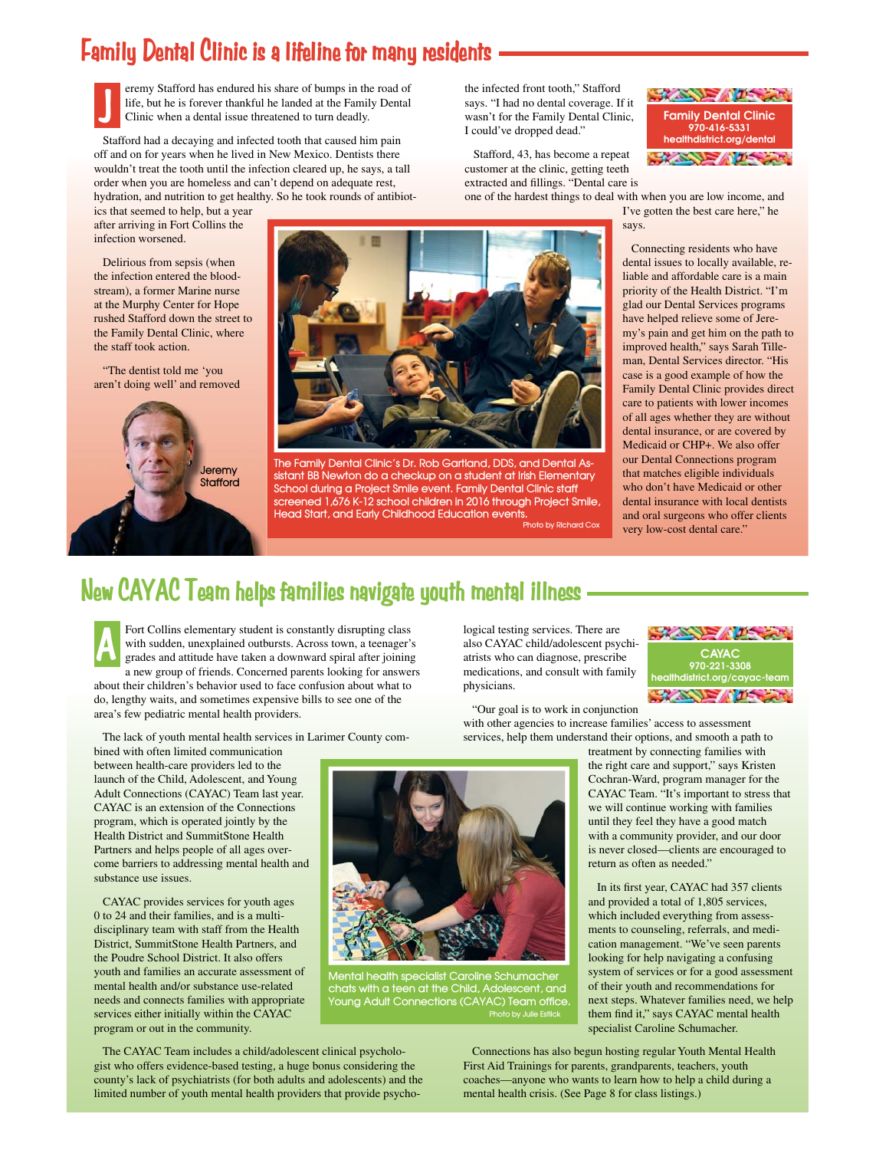# **Family Dental Clinic is a lifeline for many residents**

eremy Stafford has endured his share of bumps in the road of life, but he is forever thankful he landed at the Family Dental Clinic when a dental issue threatened to turn deadly. **J**

 Stafford had a decaying and infected tooth that caused him pain off and on for years when he lived in New Mexico. Dentists there wouldn't treat the tooth until the infection cleared up, he says, a tall order when you are homeless and can't depend on adequate rest, hydration, and nutrition to get healthy. So he took rounds of antibiot-

ics that seemed to help, but a year after arriving in Fort Collins the infection worsened.

 Delirious from sepsis (when the infection entered the bloodstream), a former Marine nurse at the Murphy Center for Hope rushed Stafford down the street to the Family Dental Clinic, where the staff took action.

 "The dentist told me 'you aren't doing well' and removed g





**The Family Dental Clinic's Dr. Rob Gartland, DDS, and Dental Assistant BB Newton do a checkup on a student at Irish Elementary School during a Project Smile event. Family Dental Clinic staff screened 1,676 K-12 school children in 2016 through Project Smile, Head Start, and Early Childhood Education events. Photo by Richard Cox**

the infected front tooth," Stafford says. "I had no dental coverage. If it wasn't for the Family Dental Clinic, I could've dropped dead."

 Stafford, 43, has become a repeat customer at the clinic, getting teeth extracted and fillings. "Dental care is



one of the hardest things to deal with when you are low income, and I've gotten the best care here," he says.

> Connecting residents who have dental issues to locally available, reliable and affordable care is a main priority of the Health District. "I'm glad our Dental Services programs have helped relieve some of Jeremy's pain and get him on the path to improved health," says Sarah Tilleman, Dental Services director. "His case is a good example of how the Family Dental Clinic provides direct care to patients with lower incomes of all ages whether they are without dental insurance, or are covered by Medicaid or CHP+. We also offer our Dental Connections program that matches eligible individuals who don't have Medicaid or other dental insurance with local dentists and oral surgeons who offer clients very low-cost dental care."

# **New CAYAC Team helps families navigate youth mental illness**

Fort Collins elementary student is constantly disrupting class with sudden, unexplained outbursts. Across town, a teenager's grades and attitude have taken a downward spiral after joining a new group of friends. Concerned parents looking for answers about their children's behavior used to face confusion about what to do, lengthy waits, and sometimes expensive bills to see one of the area's few pediatric mental health providers. **A**

The lack of youth mental health services in Larimer County com-

bined with often limited communication between health-care providers led to the launch of the Child, Adolescent, and Young Adult Connections (CAYAC) Team last year. CAYAC is an extension of the Connections program, which is operated jointly by the Health District and SummitStone Health Partners and helps people of all ages overcome barriers to addressing mental health and substance use issues.

 CAYAC provides services for youth ages 0 to 24 and their families, and is a multidisciplinary team with staff from the Health District, SummitStone Health Partners, and the Poudre School District. It also offers youth and families an accurate assessment of mental health and/or substance use-related needs and connects families with appropriate services either initially within the CAYAC program or out in the community.

logical testing services. There are also CAYAC child/adolescent psychiatrists who can diagnose, prescribe medications, and consult with family physicians.

 "Our goal is to work in conjunction with other agencies to increase families' access to assessment services, help them understand their options, and smooth a path to

> treatment by connecting families with the right care and support," says Kristen Cochran-Ward, program manager for the CAYAC Team. "It's important to stress that we will continue working with families until they feel they have a good match with a community provider, and our door is never closed—clients are encouraged to return as often as needed."

In its first year, CAYAC had 357 clients and provided a total of 1,805 services, which included everything from assessments to counseling, referrals, and medication management. "We've seen parents looking for help navigating a confusing system of services or for a good assessment of their youth and recommendations for next steps. Whatever families need, we help them find it," says CAYAC mental health specialist Caroline Schumacher.

 The CAYAC Team includes a child/adolescent clinical psychologist who offers evidence-based testing, a huge bonus considering the county's lack of psychiatrists (for both adults and adolescents) and the limited number of youth mental health providers that provide psycho-

 Connections has also begun hosting regular Youth Mental Health First Aid Trainings for parents, grandparents, teachers, youth coaches—anyone who wants to learn how to help a child during a mental health crisis. (See Page 8 for class listings.)





**Mental health specialist Caroline Schumacher chats with a teen at the Child, Adolescent, and Young Adult Connections (CAYAC) Team office. Photo by Julie Estlick**